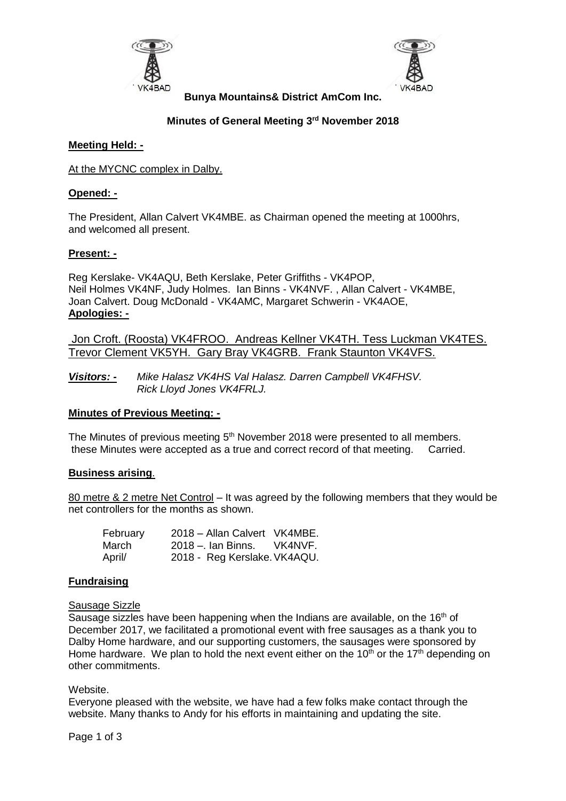



**Bunya Mountains& District AmCom Inc.**

# **Minutes of General Meeting 3 rd November 2018**

#### **Meeting Held: -**

At the MYCNC complex in Dalby.

#### **Opened: -**

The President, Allan Calvert VK4MBE. as Chairman opened the meeting at 1000hrs, and welcomed all present.

#### **Present: -**

Reg Kerslake- VK4AQU, Beth Kerslake, Peter Griffiths - VK4POP, Neil Holmes VK4NF, Judy Holmes. Ian Binns - VK4NVF. , Allan Calvert - VK4MBE, Joan Calvert. Doug McDonald - VK4AMC, Margaret Schwerin - VK4AOE, **Apologies: -**

Jon Croft. (Roosta) VK4FROO. Andreas Kellner VK4TH. Tess Luckman VK4TES. Trevor Clement VK5YH. Gary Bray VK4GRB. Frank Staunton VK4VFS.

*Visitors: - Mike Halasz VK4HS Val Halasz. Darren Campbell VK4FHSV. Rick Lloyd Jones VK4FRLJ.* 

#### **Minutes of Previous Meeting: -**

The Minutes of previous meeting 5<sup>th</sup> November 2018 were presented to all members. these Minutes were accepted as a true and correct record of that meeting. Carried.

#### **Business arising**.

80 metre & 2 metre Net Control – It was agreed by the following members that they would be net controllers for the months as shown.

| February | 2018 - Allan Calvert VK4MBE. |         |
|----------|------------------------------|---------|
| March    | 2018 –. Ian Binns.           | VK4NVF. |
| April/   | 2018 - Reg Kerslake. VK4AQU. |         |

# **Fundraising**

#### Sausage Sizzle

Sausage sizzles have been happening when the Indians are available, on the 16<sup>th</sup> of December 2017, we facilitated a promotional event with free sausages as a thank you to Dalby Home hardware, and our supporting customers, the sausages were sponsored by Home hardware. We plan to hold the next event either on the 10<sup>th</sup> or the 17<sup>th</sup> depending on other commitments.

#### **Website**

Everyone pleased with the website, we have had a few folks make contact through the website. Many thanks to Andy for his efforts in maintaining and updating the site.

Page 1 of 3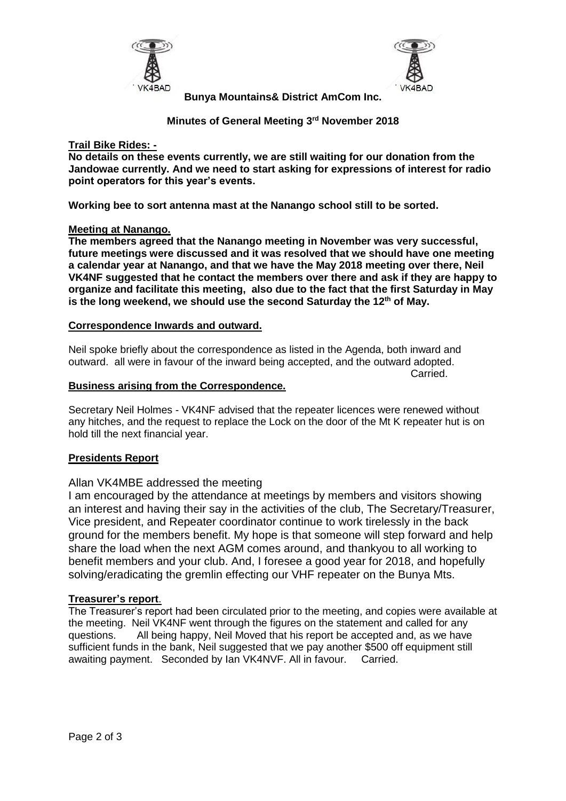



**Bunya Mountains& District AmCom Inc.**

**Minutes of General Meeting 3 rd November 2018**

# **Trail Bike Rides: -**

**No details on these events currently, we are still waiting for our donation from the Jandowae currently. And we need to start asking for expressions of interest for radio point operators for this year's events.**

**Working bee to sort antenna mast at the Nanango school still to be sorted.**

# **Meeting at Nanango.**

**The members agreed that the Nanango meeting in November was very successful, future meetings were discussed and it was resolved that we should have one meeting a calendar year at Nanango, and that we have the May 2018 meeting over there, Neil VK4NF suggested that he contact the members over there and ask if they are happy to organize and facilitate this meeting, also due to the fact that the first Saturday in May is the long weekend, we should use the second Saturday the 12th of May.**

# **Correspondence Inwards and outward.**

Neil spoke briefly about the correspondence as listed in the Agenda, both inward and outward. all were in favour of the inward being accepted, and the outward adopted.

Carried.

# **Business arising from the Correspondence.**

Secretary Neil Holmes - VK4NF advised that the repeater licences were renewed without any hitches, and the request to replace the Lock on the door of the Mt K repeater hut is on hold till the next financial year.

# **Presidents Report**

# Allan VK4MBE addressed the meeting

I am encouraged by the attendance at meetings by members and visitors showing an interest and having their say in the activities of the club, The Secretary/Treasurer, Vice president, and Repeater coordinator continue to work tirelessly in the back ground for the members benefit. My hope is that someone will step forward and help share the load when the next AGM comes around, and thankyou to all working to benefit members and your club. And, I foresee a good year for 2018, and hopefully solving/eradicating the gremlin effecting our VHF repeater on the Bunya Mts.

# **Treasurer's report**.

The Treasurer's report had been circulated prior to the meeting, and copies were available at the meeting. Neil VK4NF went through the figures on the statement and called for any questions. All being happy, Neil Moved that his report be accepted and, as we have sufficient funds in the bank, Neil suggested that we pay another \$500 off equipment still awaiting payment. Seconded by Ian VK4NVF. All in favour. Carried.